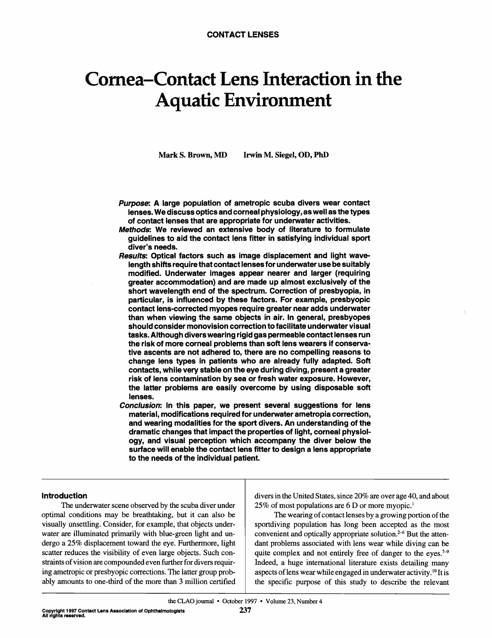# Cornea-Contact Lens Interaction in the Aquatic Environment

**Mark S. Brown, MD Irwin M. Siegel, OD, PhD** 

- **Purpose:** A large population of ametropic scuba divers wear contact lenses.Wediscussopticsandcornealphysiology,aswell asthetypes of contact lenses that are appropriate for underwater activities.
- **Methods: We reviewed an extensive body of literature to formulate** guidelines to aid the contact lens fitter in satisfying individual sport diver's needs.
- **Results:** Optical factors such as image displacement and light wavelength shifts require that contact lenses for underwater use be suitably modified. Underwater images appear nearer and larger (requiring greater accommodation) and are made up almost exclusively of the short wavelength end of the spectrum. Correction of presbyopia, in particular, is influenced by these factors. For example, presbyopic contact lens-corrected myopes require greater near adds underwater than when viewing the same objects in air. In general, presbyopes should consider monovision correction to facilitate underwater visual tasks. Although divers wearing rigid gas permeable contact lenses run the risk of more corneal problems than soft lens wearers if conservative ascents are not adhered to, there are no compelling reasons to change lens types in patients who are already fully adapted. Soft contacts, while very stable on the eye during diving, present a greater risk of lens contaminationby sea or fresh water exposure. However, the latter problems are easily overcome by using disposable soft lenses.
- **Conclusion:** In this paper, we present several suggestions for lens material, modifications required for underwater ametropia correction, and wearing modalities for the sport divers. An understanding of the dramatic changes that impact the properties of light, corneal physiology, and visual perception which accompany the diver below the surface will enable the contact lens fitter to design a lens appropriate to the needs of the individual patient.

#### Introduction

The underwater scene observed by the scuba diver under optimal conditions may be breathtaking, but it can also be visually unsettling. Consider, for example, that objects underwater are illuminated primarily with blue-green light and undergo a 25% displacement toward the eye. Furthermore, light scatter reduces the visibility of even large objects. Such constraints of vision are compounded even further for divers requiring ametropic or presbyopic corrections. The latter group probably amounts to one-third of the more than **3** million certified divers in the United States, since 20% are over age 40, and about 25% of most populations are 6 D or more myopic.'

The wearing of contact lenses by a growing portion of the sportdiving population has long been accepted as the most convenient and optically appropriate solution.<sup> $2-6$ </sup> But the attendant problems associated with lens wear while diving can be quite complex and not entirely free of danger to the eyes.<sup> $7-9$ </sup> Indeed, a huge international literature exists detailing many aspects of lens wear while engaged in underwater activity.<sup>10</sup> It is the specific purpose of this study to describe the relevant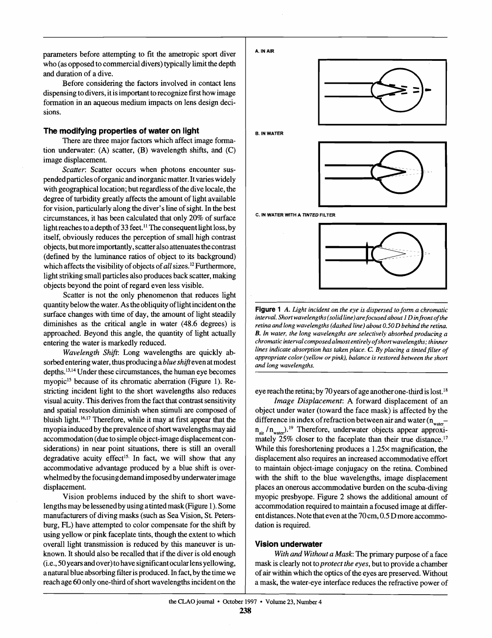parameters before attempting to fit the ametropic sport diver who (as opposed to commercial divers) typically limit the depth and duration of a dive.

Before considering the factors involved in contact lens dispensing to divers, it is important to recognize first how image formation in an aqueous medium impacts on lens design decisions.

## **The modifying properties of water on light**

There are three major factors which affect image formation underwater: (A) scatter, (B) wavelength shifts, and (C) image displacement.

*Scatter:* Scatter occurs when photons encounter suspended particles of organic and inorganic matter. It varies widely with geographical location; but regardless of the dive locale, the degree of turbidity greatly affects the amount of light available for vision, particularly along the diver's line of sight. In the best circumstances, it has been calculated that only 20% of surface light reaches to a depth of 33 feet.<sup>11</sup> The consequent light loss, by itself, obviously reduces the perception of small high contrast objects, but more importantly, scatter also attenuates the contrast (defined by the luminance ratios of object to its background) which affects the visibility of objects of *all* sizes.<sup>12</sup> Furthermore, light striking small particles also produces back scatter, making objects beyond the point of regard even less visible.

Scatter is not the only phenomenon that reduces light quantity below the water. Astheobliquityof lightincidentonthe surface changes with time of day, the amount of light steadily diminishes as the critical angle in water **(48.6** degrees) is approached. Beyond this angle, the quantity of light actually entering the water is markedly reduced.

*Wavelength Shift*: Long wavelengths are quickly absorbed entering water, thus producing a *blue shift* even at modest depths.<sup>13,14</sup> Under these circumstances, the human eye becomes myopic<sup>15</sup> because of its chromatic aberration (Figure 1). Restricting incident light to the short wavelengths also reduces visual acuity.This derives from the fact that contrast sensitivity and spatial resolution diminish when stimuli are composed of bluish light.<sup>16,17</sup> Therefore, while it may at first appear that the myopia induced by the prevalence of short wavelengths may aid accommodation (due to simple object-image displacement considerations) in near point situations, there is still an overall degradative acuity effect<sup>15.</sup> In fact, we will show that any accommodative advantage produced by a blue shift is overwhelmed by the focusing demand imposed by underwater image displacement.

Vision problems induced by the shift to short wavelengths may belessenedby using atintedmask(Figure 1).Some manufacturers of diving masks (such as Sea Vision, St. Petersburg, FL) have attempted to color compensate for the shift by using yellow or pink faceplate tints, though the extent to which overall light transmission is reduced by this maneuver is unknown. It should also be recalled that if the diver is old enough (i.e., 50yearsandover)tohave significantocularlensyellowing, a natural blue absorbing filter is produced. In fact, by the time we reach age 60 only one-third of short wavelengths incident on the



**Figure 1** A. Light incident on the eye is dispersed to form a chromatic *interval.Short wavelengths(solidline)arefocused about 1 D infront of the*  retina and long wavelengths (dashed line) about 0.50 D behind the retina. *B. In water, the long wavelengths are selectively absorbed producing a chromaticintervalcomposedalmostentirelyof shortwavelengths;thinner lines indicate absorprion has taken place.* **C.** *By placing a tinredfilter of appropriate color (yellow orpink), balance is restored between the short and long wavelengths.* 

eye reach the retina; by 70 years of age another one-third is lost.<sup>18</sup>

*Image Displacement:* A forward displacement of an object under water (toward the face mask) is affected by the difference in index of refraction between air and water  $(n_{\text{water}}$ n<sub>air</sub> / n<sub>water</sub>).<sup>19</sup> Therefore, underwater objects appear approximately 25% closer to the faceplate than their true distance.<sup>17</sup> While this foreshortening produces a  $1.25\times$  magnification, the displacement also requires an increased accommodative effort to maintain object-image conjugacy on the retina. Combined with the shift to the blue wavelengths, image displacement places an onerous accommodative burden on the scuba-diving myopic presbyope. Figure 2 shows the additional amount of accommodation required to maintain a focused image at different distances. Note that even at the 70 cm, 0.5 D more accommodation is required.

## **Vision undetwater**

*Withand Withouta Mask:* The primary purpose of a face mask is clearly not to*protect the eyes,* but to provide a chamber of air within which the optics of the eyes arepreserved. Without a mask, the water-eye interface reduces the refractive power of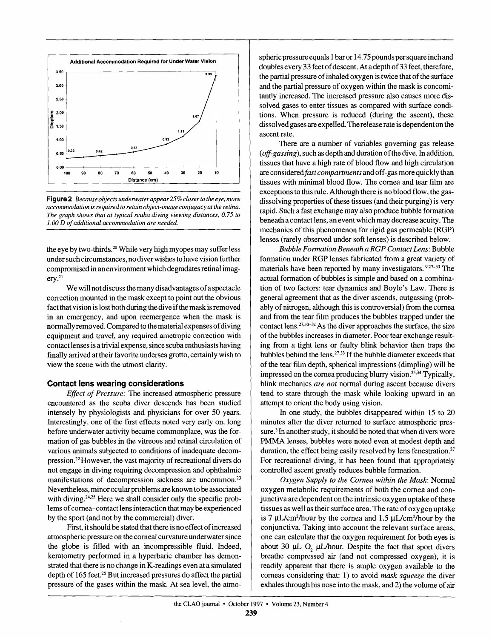

**Figure 2** *Because objects underwater appear 25% closer to the eye, more accommodation is required to retainobject-image conjugacyat the retina. The graph shows that at typical scuba diving viewing distances, 0.75 to*  1.00 D of additional accommodation are needed.

the eye by two-thirds.<sup>20</sup> While very high myopes may suffer less under such circumstances, no diver wishes to have vision further compromised in an environment which degradates retinal imag $erv.<sup>21</sup>$ 

We will not discuss the many disadvantages of a spectacle correction mounted in the mask except to point out the obvious fact that vision is lost both during the dive if the mask is removed in an emergency, and upon reemergence when the mask is normally removed. Compared to the material expenses of diving equipment and travel, any required ametropic correction with contact lenses is a trivial expense, since scuba enthusiasts having finally arrived at their favorite undersea grotto, certainly wish to view the scene with the utmost clarity.

## **Contact lens wearing considerations**

*Efect* of Pressure: The increased atmospheric pressure encountered as the scuba diver descends has been studied intensely by physiologists and physicians for over 50 years. Interestingly, one of the first effects noted very early on, long before underwater activity became commonplace, was the formation of gas bubbles in the vitreous and retinal circulation of various animals subjected to conditions of inadequate decompression.<sup>22</sup> However, the vast majority of recreational divers do not engage in diving requiring decompression and ophthalmic manifestations of decompression sickness are uncommon.<sup>23</sup> Nevertheless, minor ocular problems are known to be associated with diving.<sup>24,25</sup> Here we shall consider only the specific problems of cornea-contact lens interaction that may be experienced by the sport (and not by the commercial) diver.

First, it should be stated that there is no effect of increased atmospheric pressure on the corneal curvature underwater since the globe is filled with an incompressible fluid. Indeed, keratometry performed in a hyperbaric chamber has demonstrated that there is no change in K-readings even at a simulated depth of 165 feet.<sup>26</sup> But increased pressures do affect the partial pressure of the gases within the mask. At sea level, the atmospheric pressure equals 1 bar or 14.75 pounds per square inch and doubles every 33 feet of descent. At a depth of 33 feet, therefore, the partial pressure of inhaled oxygen is twice that of the surface and the partial pressure of oxygen within the mask is concomitantly increased. The increased pressure also causes more dissolved gases to enter tissues as compared with surface condltions. When pressure is reduced (during the ascent), these dissolved gases are expelled. The release rate is dependent on the ascent rate.

There are a number of variables governing gas release (off-gassing), such as depth and duration of the dive. In addition, tissues that have a high rate of blood flow and high circulation are considered *fast compartments* and off-gas more quickly than tissues with minimal blood flow. The cornea and tear film are exceptions to this rule. Although there is no blood flow, the gasdissolving properties of these tissues (and their purging) is very rapid. Such a fast exchange may also produce bubble formation beneath a contact lens, an event which may decrease acuity. The mechanics of this phenomenon for rigid gas permeable (RGP) lenses (rarely observed under soft lenses) is described below.

Bubble Formation Beneath a RGP Contact Lens: Bubble formation under RGP lenses fabricated from a great variety of materials have been reported by many investigators.<sup>9,27-30</sup> The actual formation of bubbles is simple and based on a combination of two factors: tear dynamics and Boyle's Law. There is general agreement that as the diver ascends, outgassing (probably of nitrogen, although this is controversial) from the cornea and from the tear film produces the bubbles trapped under the contact lens.<sup>27,30-32</sup> As the diver approaches the surface, the size of the bubbles increases in diameter. Poor tear exchange resulting from a tight lens or faulty blink behavior then traps the bubbles behind the lens.<sup>27,33</sup> If the bubble diameter exceeds that of the tear filmdepth, spherical impressions (dimpling)will be impressed on the cornea producing blurry vision.<sup>25,34</sup> Typically, blink mechanics are not normal during ascent because divers tend to stare through the mask while looking upward in an attempt to orient the body using vision.

In one study, the bubbles disappeared within 15 to 20 minutes after the diver returned to surface atmospheric pressure.<sup>3</sup> In another study, it should be noted that when divers wore PMMA lenses, bubbles were noted even at modest depth and duration, the effect being easily resolved by lens fenestration.<sup>27</sup> For recreational diving, it has been found that appropriately controlled ascent greatly reduces bubble formation.

Oxygen Supply to the Cornea within the Mask: Normal oxygen metabolic requirements of both the cornea and conjunctiva are dependent on the intrinsic oxygen uptake of these tissues as well as their surface area. Therate of oxygen uptake is 7  $\mu$ L/cm<sup>2</sup>/hour by the cornea and 1.5  $\mu$ L/cm<sup>2</sup>/hour by the conjunctiva. Taking into account the relevant surface areas, one can calculate that the oxygen requirement for both eyes is about 30  $\mu$ L O,  $\mu$ L/hour. Despite the fact that sport divers breathe compressed air (and not compressed oxygen), it is readily apparent that there is ample oxygen available to the corneas considering that: 1) to avoid *mask* squeeze the diver exhales through his nose into the mask, and 2) the volume of air

-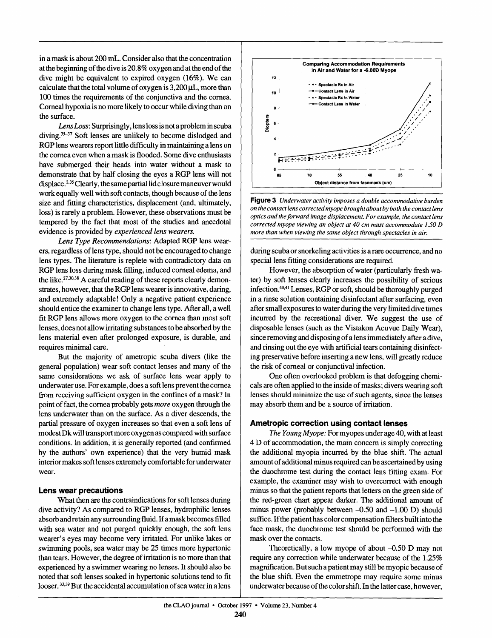in a mask is about 200 **mL.**Consider alsothat the concentration atthe beginningof the diveis20.8%oxygen andatthe endof the dive might be equivalent to expired oxygen  $(16\%)$ . We can calculate that the total volume of oxygen is  $3.200 \mu L$ , more than 100 times the requirements of the conjunctiva and the cornea. Corneal hypoxia is no more likely to occur while diving than on the surface.

Lens Loss: Surprisingly, lens loss is not a problem in scuba diving.<sup>35-37</sup> Soft lenses are unlikely to become dislodged and **RGP** lens wearers report little difficulty in maintaining a lens on the cornea even when a mask is flooded. Some dive enthusiasts have submerged their heads into water without a mask to demonstrate that by half closing the eyes a **RGP** lens will not displace.<sup>2,35</sup> Clearly, the same partial lid closure maneuver would work equally well with soft contacts, though because of the lens size and fitting characteristics, displacement (and, ultimately, loss) is rarely a problem. However, these observations must be tempered by the fact that most of the studies and anecdotal evidence is provided by *experienced lens wearers.* 

*Lens Type Recommendations:* Adapted **RGP** lens wearers, regardless of lens type, should not be encouraged to change lens types. The literature is replete with contradictory data on **RGP** lens loss during mask filling, induced corneal edema, and the like. $27,30,38$  A careful reading of these reports clearly demonstrates, however, that the RGP lens wearer is innovative, daring, and extremely adaptable! Only a negative patient experience should entice the examiner to change lens type. After all, a well fit **RGP** lens allows more oxygen to the cornea than most soft lenses, does not allow irritating substances to be absorbed by the lens material even after prolonged exposure, is durable, and requires minimal care.

But the majority of arnetropic scuba divers (like the general population) wear soft contact lenses and many of the same considerations we ask of surface lens wear apply to underwater use. For example, does a soft lens prevent the cornea from receiving sufficient oxygen in the confines of a mask? In point of fact, the cornea probably gets *more* oxygen through the lens underwater than on the surface. As a diver descends, the partial pressure of oxygen increases so that even a soft lens of modest Dk will transport more oxygen as compared with surface conditions. In addition, it is generally reported (and confirmed by the authors' own experience) that the very humid mask interior makes soft lenses extremely comfortable for underwater wear.

## **Lens wear precautions**

What then are the contraindications for soft lenses during dive activity? As compared to **RGP** lenses, hydrophilic lenses absorb and retain any surrounding fluid. If a mask becomes filled with sea water and not purged quickly enough, the soft lens wearer's eyes may become very irritated. For unlike lakes or swimming pools, sea water may be 25 times more hypertonic than tears. However, the degree of irritation is no more than that experienced by a swimmer wearing no lenses. It should also be noted that soft lenses soaked in hypertonic solutions tend to fit looser. 33,39 But the accidental accumulation of sea water in a lens



**Figure 3** *Underwater activity imposes a double accommodative burden on the contact lens correctedmyope broughtaboutby both the contact lens optics and the forward image displacement. For example, the contact lens corrected myope viewing an object at 40 cm must accommodare* **1.50***D more than when viewing the same object through spectacles in air.* 

during scuba or snorkeling activities is a rare occurrence, and no special lens fitting considerations are required.

However, the absorption of water (particularly fresh water) by soft lenses clearly increases the possibility of serious infection.<sup>40,41</sup> Lenses, RGP or soft, should be thoroughly purged in a rinse solution containing disinfectant after surfacing, even after small exposures to water during the very limited dive times incurred by the recreational diver. We suggest the use of disposable lenses (such as the Vistakon Acuvue Daily Wear), since removing and disposing of a lens immediately after a dive, and rinsing out the eye with artificial tears containing disinfecting preservative before inserting a new lens, will greatly reduce the risk of corneal or conjunctival infection.

One often overlooked problem is that defogging chernicals are often applied to the inside of masks;divers wearing soft lenses should minimize the use of such agents, since the lenses may absorb them and be a source of irritation.

## **Ametropic correction using contact lenses**

The Young Myope: For myopes under age 40, with at least 4 D of accommodation, the main concern is simply correcting the additional myopia incurred by the blue shift. The actual amount of additional minus required can be ascertained by using the duochrome test during the contact lens fitting exam. For example, the examiner may wish to overcorrect with enough minus so that the patient reports that letters on the green side of the red-green chart appear darker. The additional amount of minus power (probably between  $-0.50$  and  $-1.00$  D) should suffice. If the patient has color compensation filters built into the face mask, the duochrome test should be performed with the mask over the contacts.

Theoretically, a low myope of about  $-0.50$  D may not require any correction while underwater because of the 1.25% magnification. But such a patient may still be myopic because of the blue shift. Even the emmetrope may require some minus underwater because of the color shift. In the latter case, however,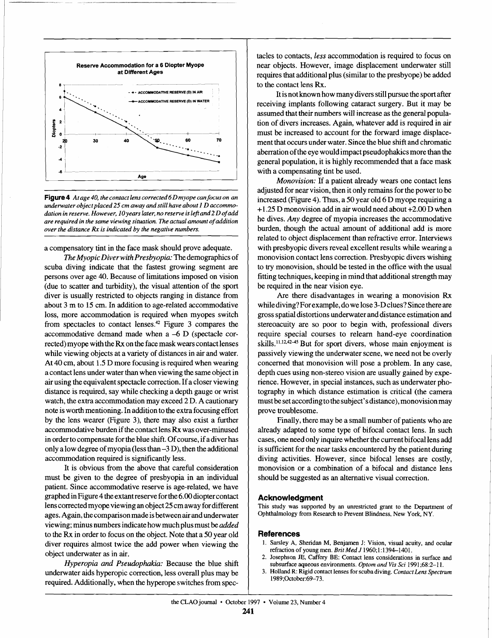

**Figure 4** At age 40, the contact lens corrected 6D myope can focus on an underwater object placed 25 cm away and still have about 1 D accommo*dation in reserve.However,* 1*Oyearslater,no reserve is lefrand 2 D of add*  are required in the same viewing situation. The actual amount of addition *over the distance Rx is indicated by the negative numbers.* 

a compensatory tint in the face mask should prove adequate.

*TheMyopic Diverwith Presbyopia:* Thedemographicsof scuba diving indicate that the fastest growing segment are persons over age 40. Because of limitations imposed on vision (due to scatter and turbidity), the visual attention of the sport diver is usually restricted to objects ranging in distance from about 3 m to 15 cm. In addition to age-related accommodative loss, more accommodation is required when myopes switch from spectacles to contact lenses.<sup>42</sup> Figure 3 compares the accommodative demand made when a -6 D (spectacle corrected) myope with the Rx on the face mask wears contact lenses while viewing objects at a variety of distances in air and water. At 40 cm, about 1.5 D more focusing is required when wearing a contact lens under water than when viewing the same object in air using the equivalent spectacle correction. If a closer viewing distance is required, say while checking a depth gauge or wrist watch, the extra accommodation may exceed 2 D. A cautionary note is worth mentioning. In addition to the extra focusing effort by the lens wearer (Figure 3), there may also exist a further accommodative burden if the contact lens Rx was over-minused in order to compensate for the blue shift. Of course, if a diver has only a lowdegreeof myopia(lessthan **-3** D), then the additional accommodation required is significantly less.

It is obvious from the above that careful consideration must be given to the degree of presbyopia in an individual patient. Since accommodative reserve is age-related, we have graphed in Figure 4 the extant reserve for the  $6.00$  diopter contact lens corrected myope viewing an object 25 cm away for different ages. Again, the comparison made is between air and underwater viewing;minus numbersindicatehow muchplusmust be*added*  to the Rx in order to focus on the object. Note that a 50 year old diver requires almost twice the add power when viewing the object underwater as in air.

Hyperopia and Pseudophakia: Because the blue shift underwater aids hyperopic correction, less overall plus may be required. Additionally, when the hyperope switches from spec-

tacles to contacts, *less* accommodation is required to focus on near objects. However, image displacement underwater still requires that additional plus (similar to the presbyope) be added to the contact lens Rx.

It is not known how many divers still pursue the sport after receiving implants following cataract surgery. But it may be assumed that their numbers will increase as the general population of divers increases. Again, whatever add is required in air must be increased to account for the forward image displacement that occurs under water. Since the blue shift and chromatic aberration of the eye would impact pseudophakics more than the general population, it is highly recommended that a face mask with a compensating tint be used.

*Monovision:* If a patient already wears one contact lens adjusted for near vision, then it only remains for the power to be increased (Figure 4). Thus, a 50 year old 6 D myope requiring a +1.25D monovisionadd in air would need about+2.00 D when he dives. Any degree of myopia increases the accommodative burden, though the actual amount of additional add is more related to object displacement than refractive error. Interviews with presbyopic divers reveal excellent results while wearing a monovision contact lens correction. Presbyopic divers wishing to **try** monovision, should be tested in the office with the usual fitting techniques, keeping in mind that additional strength may be required in the near vision eye.

Are there disadvantages in wearing a monovision **Rx**  while diving?Forexample,dowelose**3-D**clues?Sincethereare gross spatial distortions underwater and distance estimation and stereoacuity are so poor to begin with, professional divers require special courses to relearn hand-eye coordination skills.<sup>11,12,42-45</sup> But for sport divers, whose main enjoyment is passively viewing the underwater scene, we need not be overly concerned that monovision will pose a problem. In any case, depth cues using non-stereo vision are usually gained by experience. However, in special instances, such as underwater photography in which distance estimation is critical (the camera must be set according to the subject's distance), monovision may prove troublesome.

Finally, there may be a small number of patients who are already adapted to some type of bifocal contact lens. In such cases, one need only inquire whether the current bifocal lens add is suficient for the near tasks encountered by the patient during diving activities. However, since bifocal lenses are costly, monovision or a combination of a bifocal and distance lens should be suggested as an alternative visual correction.

## **Acknowledgment**

**This study was supported by an unrestricted grant to the Department of**  Ophthalmology from Research to Prevent Blindness, New York, NY.

#### **References**

- **1. Sarsley A, Sheridan M, Benjamen J: Vision, visual acuity, and ocular refraction of young men.** *Brit Med* **J 1960;1**:**1394-1401.**
- **2. Josephson JE, Caffery BE: Contact lens considerations in surface and subsurface aqueous environments.***Optomand VisSci* **199**1**;68:2- 1 1.**
- **3. Holland R: Rigid contact lenses for scuba diving.** *ContactLens Spectrum*  **1989;0ctober:69-73.**